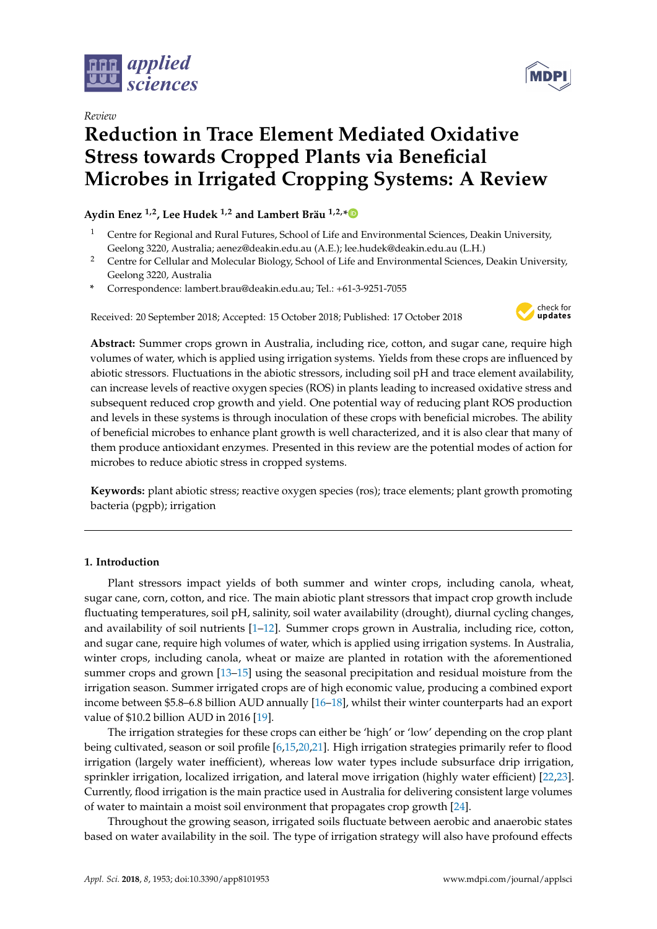

*Review*



# **Reduction in Trace Element Mediated Oxidative Stress towards Cropped Plants via Beneficial Microbes in Irrigated Cropping Systems: A Review**

## **Aydin Enez 1,2, Lee Hudek 1,2 and Lambert Bräu 1,2,[\\*](https://orcid.org/0000-0001-7105-8339)**

- <sup>1</sup> Centre for Regional and Rural Futures, School of Life and Environmental Sciences, Deakin University, Geelong 3220, Australia; aenez@deakin.edu.au (A.E.); lee.hudek@deakin.edu.au (L.H.)
- <sup>2</sup> Centre for Cellular and Molecular Biology, School of Life and Environmental Sciences, Deakin University, Geelong 3220, Australia
- **\*** Correspondence: lambert.brau@deakin.edu.au; Tel.: +61-3-9251-7055

Received: 20 September 2018; Accepted: 15 October 2018; Published: 17 October 2018



**Abstract:** Summer crops grown in Australia, including rice, cotton, and sugar cane, require high volumes of water, which is applied using irrigation systems. Yields from these crops are influenced by abiotic stressors. Fluctuations in the abiotic stressors, including soil pH and trace element availability, can increase levels of reactive oxygen species (ROS) in plants leading to increased oxidative stress and subsequent reduced crop growth and yield. One potential way of reducing plant ROS production and levels in these systems is through inoculation of these crops with beneficial microbes. The ability of beneficial microbes to enhance plant growth is well characterized, and it is also clear that many of them produce antioxidant enzymes. Presented in this review are the potential modes of action for microbes to reduce abiotic stress in cropped systems.

**Keywords:** plant abiotic stress; reactive oxygen species (ros); trace elements; plant growth promoting bacteria (pgpb); irrigation

## **1. Introduction**

Plant stressors impact yields of both summer and winter crops, including canola, wheat, sugar cane, corn, cotton, and rice. The main abiotic plant stressors that impact crop growth include fluctuating temperatures, soil pH, salinity, soil water availability (drought), diurnal cycling changes, and availability of soil nutrients [\[1–](#page-7-0)[12\]](#page-7-1). Summer crops grown in Australia, including rice, cotton, and sugar cane, require high volumes of water, which is applied using irrigation systems. In Australia, winter crops, including canola, wheat or maize are planted in rotation with the aforementioned summer crops and grown [\[13–](#page-7-2)[15\]](#page-8-0) using the seasonal precipitation and residual moisture from the irrigation season. Summer irrigated crops are of high economic value, producing a combined export income between \$5.8–6.8 billion AUD annually [\[16](#page-8-1)[–18\]](#page-8-2), whilst their winter counterparts had an export value of \$10.2 billion AUD in 2016 [\[19\]](#page-8-3).

The irrigation strategies for these crops can either be 'high' or 'low' depending on the crop plant being cultivated, season or soil profile [\[6,](#page-7-3)[15,](#page-8-0)[20](#page-8-4)[,21\]](#page-8-5). High irrigation strategies primarily refer to flood irrigation (largely water inefficient), whereas low water types include subsurface drip irrigation, sprinkler irrigation, localized irrigation, and lateral move irrigation (highly water efficient) [\[22,](#page-8-6)[23\]](#page-8-7). Currently, flood irrigation is the main practice used in Australia for delivering consistent large volumes of water to maintain a moist soil environment that propagates crop growth [\[24\]](#page-8-8).

Throughout the growing season, irrigated soils fluctuate between aerobic and anaerobic states based on water availability in the soil. The type of irrigation strategy will also have profound effects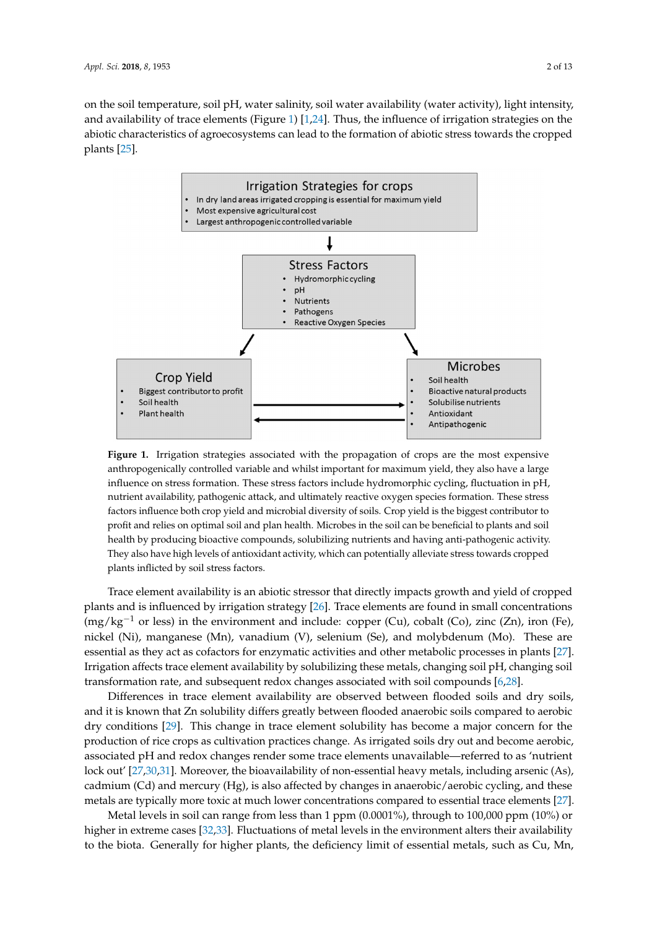on the soil temperature, soil pH, water salinity, soil water availability (water activity), light intensity, and availability of trace elements (Figure [1\)](#page-1-0)  $[1,24]$  $[1,24]$ . Thus, the influence of irrigation strategies on the abiotic characteristics of agroecosystems can lead to the formation of abiotic stress towards the cropped abiotic characteristics of agroecosystems can lead to the formation of abiotic stress towards the plants  $[25]$ .

<span id="page-1-0"></span>

**Figure 1.** Irrigation strategies associated with the propagation of crops are the most expensive **Figure 1.** Irrigation strategies associated with the propagation of crops are the most expensive anthropogenically controlled variable and whilst important for maximum yield, they also have a large anthropogenically controlled variable and whilst important for maximum yield, they also have a large influence on stress formation. These stress factors include hydromorphic cycling, fluctuation in pH, influence on stress formation. These stress factors include hydromorphic cycling, fluctuation in pH, nutrient availability, pathogenic attack, and ultimately reactive oxygen species formation. These nutrient availability, pathogenic attack, and ultimately reactive oxygen species formation. These stress stress factors influence both crop yield and microbial diversity of soils. Crop yield is the biggest factors influence both crop yield and microbial diversity of soils. Crop yield is the biggest contributor to profit and relies on optimal soil and plan health. Microbes in the soil can be beneficial to plants and soil health by producing bioactive compounds, solubilizing nutrients and having anti-pathogenic activity.<br> They also have high levels of antioxidant activity, which can potentially alleviate stress towards cropped plants inflicted by soil stress factors.

Trace element availability is an abiotic stressor that directly impacts growth and yield of cropped plants and is influenced by irrigation strategy [\[26\]](#page-8-10). Trace elements are found in small concentrations  $\rm{mag/kg^{-1}}$  or less) in the environment and include: copper (Cu), cobalt (Co), zinc (Zn), iron (Fe), nickel (Ni), manganese (Mn), vanadium (V), selenium (Se), and molybdenum (Mo). These are (Στι), non (Fe), essential as they act as cofactors for enzymatic activities and other metabolic processes in plants [\[27\]](#page-8-11). they act as cofactors for enzymatic activities and other metabolic processes in plants [27]. Irrigation Irrigation affects trace element availability by solubilizing these metals, changing soil pH, changing soil transformation rate, and subsequent redox changes associated with soil compounds  $[6,28]$  $[6,28]$ . Trace element availability is an abiotic stressor that directly impacts growth and yield of cropped

transformation rate, and subsequent redox changes associated with soil compounds [6,28]. Differences in trace element availability are observed between flooded soils and dry soils, and it is known that Zn solubility differs greatly between flooded anaerobic soils compared to aerobic and it is known that Zn solubility differs greatly between flooded anaerobic soils compared to aerobic dry conditions [\[29\]](#page-8-13). This change in trace element solubility has become a major concern for the conditions [29]. This change in trace element solubility has become a major concern for the production production of rice crops as cultivation practices change. As irrigated soils dry out and become aerobic, of rice crops as cultivation practices change. As irrigated soils dry out and become aerobic, associated associated pH and redox changes render some trace elements unavailable—referred to as 'nutrient associated p11 and redox changes render some trace clements and vanasie —referred to as 'nutrient lock out' [\[27,](#page-8-11)[30,](#page-8-14)[31\]](#page-8-15). Moreover, the bioavailability of non-essential heavy metals, including arsenic (As), cadmium (Cd) and mercury (Hg), is also affected by changes in anaerobic/aerobic cycling, and these cadmium (Cd) and mercury (Hg), is also affected by changes in anaerobic/aerobic cycling, and these metals are typically more toxic at much lower concentrations compared to essential trace elements [\[27\]](#page-8-11).

metals are typically more toxic at much lower concentrations compared to essential trace elements Metal levels in soil can range from less than 1 ppm (0.0001%), through to 100,000 ppm (10%) or [27]. higher in extreme cases [\[32](#page-8-16)[,33\]](#page-8-17). Fluctuations of metal levels in the environment alters their availability  $\mu$  in solution can represent the levels in some levels in the canonical method points in  $G$  or  $M_{\odot}$ to the biota. Generally for higher plants, the deficiency limit of essential metals, such as Cu, Mn,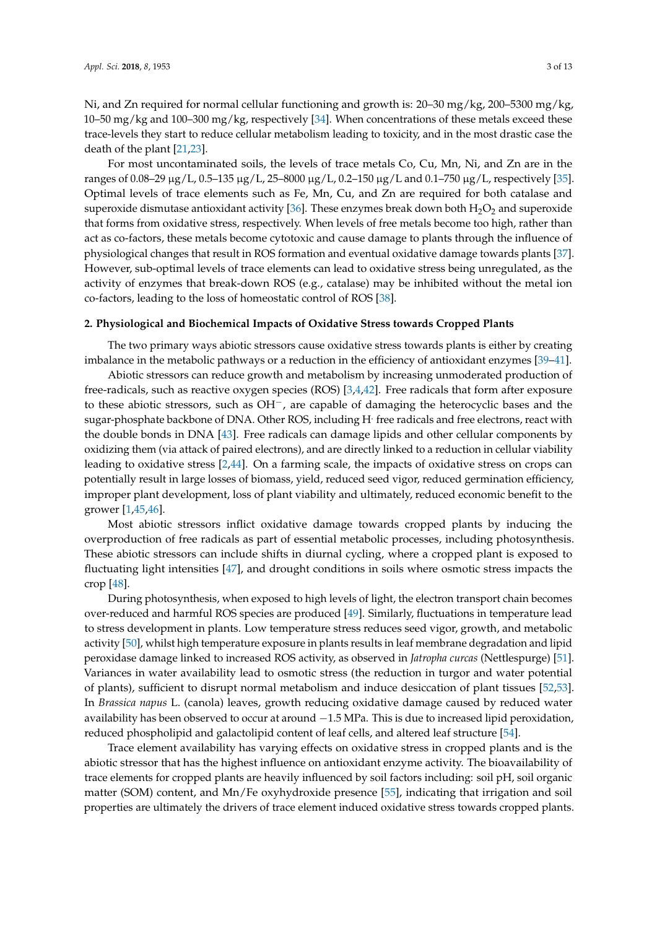Ni, and Zn required for normal cellular functioning and growth is: 20–30 mg/kg, 200–5300 mg/kg, 10–50 mg/kg and 100–300 mg/kg, respectively [\[34\]](#page-8-18). When concentrations of these metals exceed these trace-levels they start to reduce cellular metabolism leading to toxicity, and in the most drastic case the death of the plant [\[21,](#page-8-5)[23\]](#page-8-7).

For most uncontaminated soils, the levels of trace metals Co, Cu, Mn, Ni, and Zn are in the ranges of 0.08–29 µg/L, 0.5–135 µg/L, 25–8000 µg/L, 0.2–150 µg/L and 0.1–750 µg/L, respectively [\[35\]](#page-9-0). Optimal levels of trace elements such as Fe, Mn, Cu, and Zn are required for both catalase and superoxide dismutase antioxidant activity [\[36\]](#page-9-1). These enzymes break down both  $H_2O_2$  and superoxide that forms from oxidative stress, respectively. When levels of free metals become too high, rather than act as co-factors, these metals become cytotoxic and cause damage to plants through the influence of physiological changes that result in ROS formation and eventual oxidative damage towards plants [\[37\]](#page-9-2). However, sub-optimal levels of trace elements can lead to oxidative stress being unregulated, as the activity of enzymes that break-down ROS (e.g., catalase) may be inhibited without the metal ion co-factors, leading to the loss of homeostatic control of ROS [\[38\]](#page-9-3).

#### **2. Physiological and Biochemical Impacts of Oxidative Stress towards Cropped Plants**

The two primary ways abiotic stressors cause oxidative stress towards plants is either by creating imbalance in the metabolic pathways or a reduction in the efficiency of antioxidant enzymes [\[39–](#page-9-4)[41\]](#page-9-5).

Abiotic stressors can reduce growth and metabolism by increasing unmoderated production of free-radicals, such as reactive oxygen species (ROS) [\[3,](#page-7-4)[4,](#page-7-5)[42\]](#page-9-6). Free radicals that form after exposure to these abiotic stressors, such as OH−, are capable of damaging the heterocyclic bases and the sugar-phosphate backbone of DNA. Other ROS, including H. free radicals and free electrons, react with the double bonds in DNA [\[43\]](#page-9-7). Free radicals can damage lipids and other cellular components by oxidizing them (via attack of paired electrons), and are directly linked to a reduction in cellular viability leading to oxidative stress [\[2](#page-7-6)[,44\]](#page-9-8). On a farming scale, the impacts of oxidative stress on crops can potentially result in large losses of biomass, yield, reduced seed vigor, reduced germination efficiency, improper plant development, loss of plant viability and ultimately, reduced economic benefit to the grower [\[1,](#page-7-0)[45,](#page-9-9)[46\]](#page-9-10).

Most abiotic stressors inflict oxidative damage towards cropped plants by inducing the overproduction of free radicals as part of essential metabolic processes, including photosynthesis. These abiotic stressors can include shifts in diurnal cycling, where a cropped plant is exposed to fluctuating light intensities [\[47\]](#page-9-11), and drought conditions in soils where osmotic stress impacts the crop [\[48\]](#page-9-12).

During photosynthesis, when exposed to high levels of light, the electron transport chain becomes over-reduced and harmful ROS species are produced [\[49\]](#page-9-13). Similarly, fluctuations in temperature lead to stress development in plants. Low temperature stress reduces seed vigor, growth, and metabolic activity [\[50\]](#page-9-14), whilst high temperature exposure in plants results in leaf membrane degradation and lipid peroxidase damage linked to increased ROS activity, as observed in *Jatropha curcas* (Nettlespurge) [\[51\]](#page-9-15). Variances in water availability lead to osmotic stress (the reduction in turgor and water potential of plants), sufficient to disrupt normal metabolism and induce desiccation of plant tissues [\[52,](#page-9-16)[53\]](#page-9-17). In *Brassica napus* L. (canola) leaves, growth reducing oxidative damage caused by reduced water availability has been observed to occur at around −1.5 MPa. This is due to increased lipid peroxidation, reduced phospholipid and galactolipid content of leaf cells, and altered leaf structure [\[54\]](#page-9-18).

Trace element availability has varying effects on oxidative stress in cropped plants and is the abiotic stressor that has the highest influence on antioxidant enzyme activity. The bioavailability of trace elements for cropped plants are heavily influenced by soil factors including: soil pH, soil organic matter (SOM) content, and Mn/Fe oxyhydroxide presence [\[55\]](#page-9-19), indicating that irrigation and soil properties are ultimately the drivers of trace element induced oxidative stress towards cropped plants.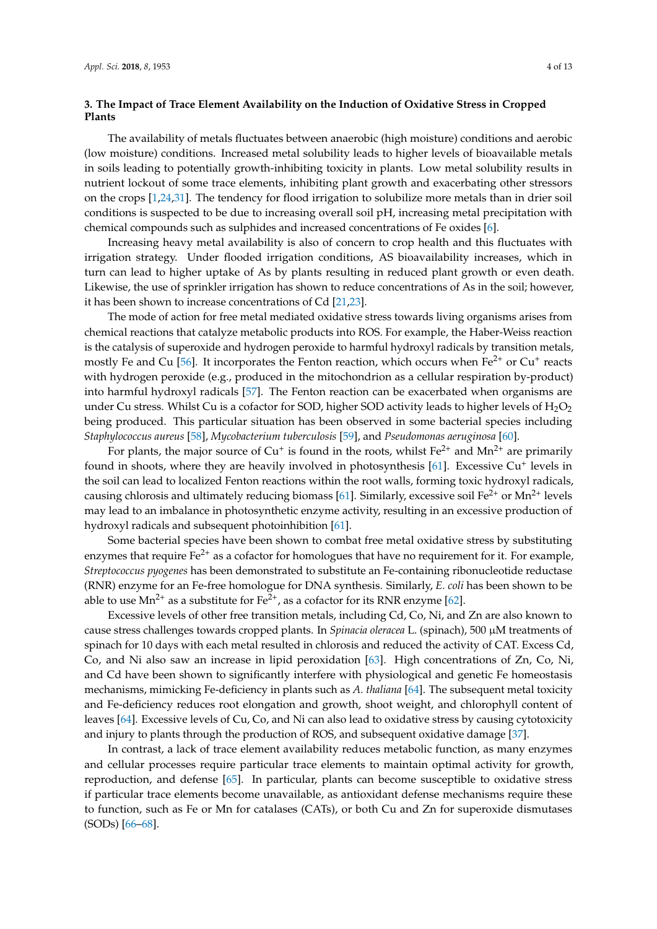## **3. The Impact of Trace Element Availability on the Induction of Oxidative Stress in Cropped Plants**

The availability of metals fluctuates between anaerobic (high moisture) conditions and aerobic (low moisture) conditions. Increased metal solubility leads to higher levels of bioavailable metals in soils leading to potentially growth-inhibiting toxicity in plants. Low metal solubility results in nutrient lockout of some trace elements, inhibiting plant growth and exacerbating other stressors on the crops [\[1](#page-7-0)[,24](#page-8-8)[,31\]](#page-8-15). The tendency for flood irrigation to solubilize more metals than in drier soil conditions is suspected to be due to increasing overall soil pH, increasing metal precipitation with chemical compounds such as sulphides and increased concentrations of Fe oxides [\[6\]](#page-7-3).

Increasing heavy metal availability is also of concern to crop health and this fluctuates with irrigation strategy. Under flooded irrigation conditions, AS bioavailability increases, which in turn can lead to higher uptake of As by plants resulting in reduced plant growth or even death. Likewise, the use of sprinkler irrigation has shown to reduce concentrations of As in the soil; however, it has been shown to increase concentrations of Cd [\[21](#page-8-5)[,23\]](#page-8-7).

The mode of action for free metal mediated oxidative stress towards living organisms arises from chemical reactions that catalyze metabolic products into ROS. For example, the Haber-Weiss reaction is the catalysis of superoxide and hydrogen peroxide to harmful hydroxyl radicals by transition metals, mostly Fe and Cu [\[56\]](#page-9-20). It incorporates the Fenton reaction, which occurs when Fe<sup>2+</sup> or Cu<sup>+</sup> reacts with hydrogen peroxide (e.g., produced in the mitochondrion as a cellular respiration by-product) into harmful hydroxyl radicals [\[57\]](#page-10-0). The Fenton reaction can be exacerbated when organisms are under Cu stress. Whilst Cu is a cofactor for SOD, higher SOD activity leads to higher levels of  $H_2O_2$ being produced. This particular situation has been observed in some bacterial species including *Staphylococcus aureus* [\[58\]](#page-10-1), *Mycobacterium tuberculosis* [\[59\]](#page-10-2), and *Pseudomonas aeruginosa* [\[60\]](#page-10-3).

For plants, the major source of Cu<sup>+</sup> is found in the roots, whilst Fe<sup>2+</sup> and Mn<sup>2+</sup> are primarily found in shoots, where they are heavily involved in photosynthesis [\[61\]](#page-10-4). Excessive Cu<sup>+</sup> levels in the soil can lead to localized Fenton reactions within the root walls, forming toxic hydroxyl radicals, causing chlorosis and ultimately reducing biomass [\[61\]](#page-10-4). Similarly, excessive soil  $Fe^{2+}$  or Mn<sup>2+</sup> levels may lead to an imbalance in photosynthetic enzyme activity, resulting in an excessive production of hydroxyl radicals and subsequent photoinhibition [\[61\]](#page-10-4).

Some bacterial species have been shown to combat free metal oxidative stress by substituting enzymes that require  $Fe^{2+}$  as a cofactor for homologues that have no requirement for it. For example, *Streptococcus pyogenes* has been demonstrated to substitute an Fe-containing ribonucleotide reductase (RNR) enzyme for an Fe-free homologue for DNA synthesis. Similarly, *E. coli* has been shown to be able to use  $Mn^{2+}$  as a substitute for Fe<sup>2+</sup>, as a cofactor for its RNR enzyme [\[62\]](#page-10-5).

Excessive levels of other free transition metals, including Cd, Co, Ni, and Zn are also known to cause stress challenges towards cropped plants. In *Spinacia oleracea* L. (spinach), 500 µM treatments of spinach for 10 days with each metal resulted in chlorosis and reduced the activity of CAT. Excess Cd, Co, and Ni also saw an increase in lipid peroxidation [\[63\]](#page-10-6). High concentrations of Zn, Co, Ni, and Cd have been shown to significantly interfere with physiological and genetic Fe homeostasis mechanisms, mimicking Fe-deficiency in plants such as *A. thaliana* [\[64\]](#page-10-7). The subsequent metal toxicity and Fe-deficiency reduces root elongation and growth, shoot weight, and chlorophyll content of leaves [\[64\]](#page-10-7). Excessive levels of Cu, Co, and Ni can also lead to oxidative stress by causing cytotoxicity and injury to plants through the production of ROS, and subsequent oxidative damage [\[37\]](#page-9-2).

In contrast, a lack of trace element availability reduces metabolic function, as many enzymes and cellular processes require particular trace elements to maintain optimal activity for growth, reproduction, and defense [\[65\]](#page-10-8). In particular, plants can become susceptible to oxidative stress if particular trace elements become unavailable, as antioxidant defense mechanisms require these to function, such as Fe or Mn for catalases (CATs), or both Cu and Zn for superoxide dismutases (SODs) [\[66–](#page-10-9)[68\]](#page-10-10).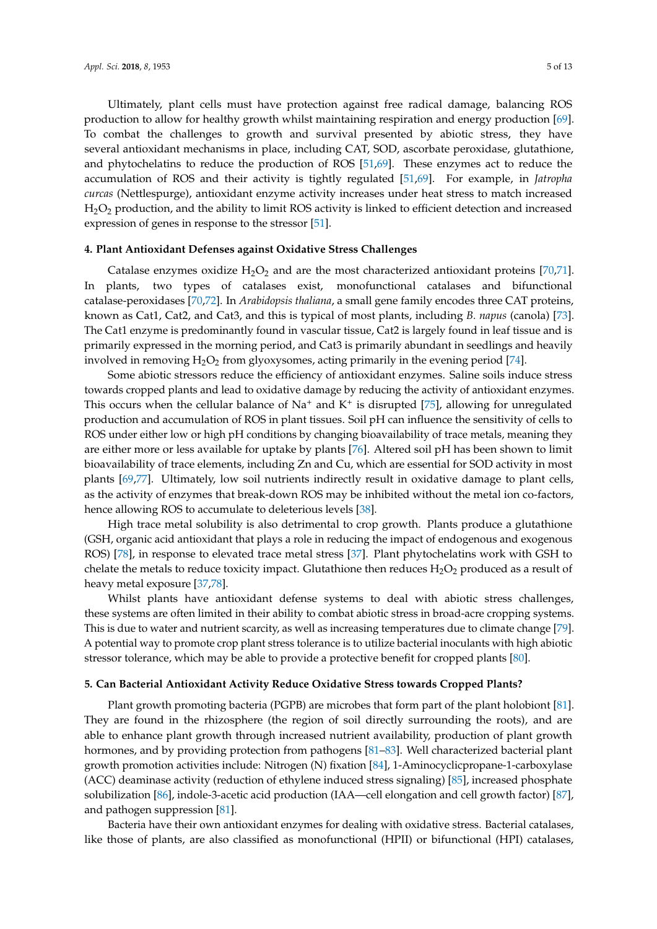Ultimately, plant cells must have protection against free radical damage, balancing ROS production to allow for healthy growth whilst maintaining respiration and energy production [\[69\]](#page-10-11). To combat the challenges to growth and survival presented by abiotic stress, they have several antioxidant mechanisms in place, including CAT, SOD, ascorbate peroxidase, glutathione, and phytochelatins to reduce the production of ROS [\[51](#page-9-15)[,69\]](#page-10-11). These enzymes act to reduce the accumulation of ROS and their activity is tightly regulated [\[51](#page-9-15)[,69\]](#page-10-11). For example, in *Jatropha curcas* (Nettlespurge), antioxidant enzyme activity increases under heat stress to match increased H2O<sup>2</sup> production, and the ability to limit ROS activity is linked to efficient detection and increased expression of genes in response to the stressor [\[51\]](#page-9-15).

#### **4. Plant Antioxidant Defenses against Oxidative Stress Challenges**

Catalase enzymes oxidize  $H_2O_2$  and are the most characterized antioxidant proteins [\[70,](#page-10-12)[71\]](#page-10-13). In plants, two types of catalases exist, monofunctional catalases and bifunctional catalase-peroxidases [\[70,](#page-10-12)[72\]](#page-10-14). In *Arabidopsis thaliana*, a small gene family encodes three CAT proteins, known as Cat1, Cat2, and Cat3, and this is typical of most plants, including *B. napus* (canola) [\[73\]](#page-10-15). The Cat1 enzyme is predominantly found in vascular tissue, Cat2 is largely found in leaf tissue and is primarily expressed in the morning period, and Cat3 is primarily abundant in seedlings and heavily involved in removing  $H_2O_2$  from glyoxysomes, acting primarily in the evening period [\[74\]](#page-10-16).

Some abiotic stressors reduce the efficiency of antioxidant enzymes. Saline soils induce stress towards cropped plants and lead to oxidative damage by reducing the activity of antioxidant enzymes. This occurs when the cellular balance of  $Na^+$  and  $K^+$  is disrupted [\[75\]](#page-10-17), allowing for unregulated production and accumulation of ROS in plant tissues. Soil pH can influence the sensitivity of cells to ROS under either low or high pH conditions by changing bioavailability of trace metals, meaning they are either more or less available for uptake by plants [\[76\]](#page-10-18). Altered soil pH has been shown to limit bioavailability of trace elements, including Zn and Cu, which are essential for SOD activity in most plants [\[69,](#page-10-11)[77\]](#page-10-19). Ultimately, low soil nutrients indirectly result in oxidative damage to plant cells, as the activity of enzymes that break-down ROS may be inhibited without the metal ion co-factors, hence allowing ROS to accumulate to deleterious levels [\[38\]](#page-9-3).

High trace metal solubility is also detrimental to crop growth. Plants produce a glutathione (GSH, organic acid antioxidant that plays a role in reducing the impact of endogenous and exogenous ROS) [\[78\]](#page-10-20), in response to elevated trace metal stress [\[37\]](#page-9-2). Plant phytochelatins work with GSH to chelate the metals to reduce toxicity impact. Glutathione then reduces  $H_2O_2$  produced as a result of heavy metal exposure [\[37](#page-9-2)[,78\]](#page-10-20).

Whilst plants have antioxidant defense systems to deal with abiotic stress challenges, these systems are often limited in their ability to combat abiotic stress in broad-acre cropping systems. This is due to water and nutrient scarcity, as well as increasing temperatures due to climate change [\[79\]](#page-10-21). A potential way to promote crop plant stress tolerance is to utilize bacterial inoculants with high abiotic stressor tolerance, which may be able to provide a protective benefit for cropped plants [\[80\]](#page-10-22).

#### **5. Can Bacterial Antioxidant Activity Reduce Oxidative Stress towards Cropped Plants?**

Plant growth promoting bacteria (PGPB) are microbes that form part of the plant holobiont [\[81\]](#page-11-0). They are found in the rhizosphere (the region of soil directly surrounding the roots), and are able to enhance plant growth through increased nutrient availability, production of plant growth hormones, and by providing protection from pathogens [\[81–](#page-11-0)[83\]](#page-11-1). Well characterized bacterial plant growth promotion activities include: Nitrogen (N) fixation [\[84\]](#page-11-2), 1-Aminocyclicpropane-1-carboxylase (ACC) deaminase activity (reduction of ethylene induced stress signaling) [\[85\]](#page-11-3), increased phosphate solubilization [\[86\]](#page-11-4), indole-3-acetic acid production (IAA—cell elongation and cell growth factor) [\[87\]](#page-11-5), and pathogen suppression [\[81\]](#page-11-0).

Bacteria have their own antioxidant enzymes for dealing with oxidative stress. Bacterial catalases, like those of plants, are also classified as monofunctional (HPII) or bifunctional (HPI) catalases,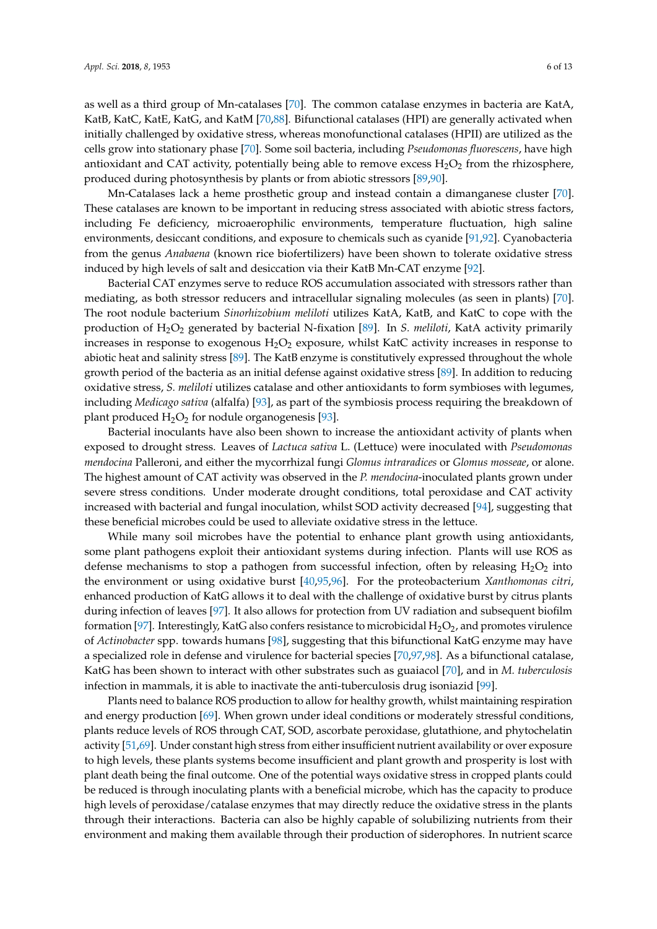as well as a third group of Mn-catalases [\[70\]](#page-10-12). The common catalase enzymes in bacteria are KatA, KatB, KatC, KatE, KatG, and KatM [\[70](#page-10-12)[,88\]](#page-11-6). Bifunctional catalases (HPI) are generally activated when initially challenged by oxidative stress, whereas monofunctional catalases (HPII) are utilized as the cells grow into stationary phase [\[70\]](#page-10-12). Some soil bacteria, including *Pseudomonas fluorescens*, have high antioxidant and CAT activity, potentially being able to remove excess  $H_2O_2$  from the rhizosphere, produced during photosynthesis by plants or from abiotic stressors [\[89,](#page-11-7)[90\]](#page-11-8).

Mn-Catalases lack a heme prosthetic group and instead contain a dimanganese cluster [\[70\]](#page-10-12). These catalases are known to be important in reducing stress associated with abiotic stress factors, including Fe deficiency, microaerophilic environments, temperature fluctuation, high saline environments, desiccant conditions, and exposure to chemicals such as cyanide [\[91](#page-11-9)[,92\]](#page-11-10). Cyanobacteria from the genus *Anabaena* (known rice biofertilizers) have been shown to tolerate oxidative stress induced by high levels of salt and desiccation via their KatB Mn-CAT enzyme [\[92\]](#page-11-10).

Bacterial CAT enzymes serve to reduce ROS accumulation associated with stressors rather than mediating, as both stressor reducers and intracellular signaling molecules (as seen in plants) [\[70\]](#page-10-12). The root nodule bacterium *Sinorhizobium meliloti* utilizes KatA, KatB, and KatC to cope with the production of H2O<sup>2</sup> generated by bacterial N-fixation [\[89\]](#page-11-7). In *S. meliloti*, KatA activity primarily increases in response to exogenous  $H_2O_2$  exposure, whilst KatC activity increases in response to abiotic heat and salinity stress [\[89\]](#page-11-7). The KatB enzyme is constitutively expressed throughout the whole growth period of the bacteria as an initial defense against oxidative stress [\[89\]](#page-11-7). In addition to reducing oxidative stress, *S. meliloti* utilizes catalase and other antioxidants to form symbioses with legumes, including *Medicago sativa* (alfalfa) [\[93\]](#page-11-11), as part of the symbiosis process requiring the breakdown of plant produced  $H_2O_2$  for nodule organogenesis [\[93\]](#page-11-11).

Bacterial inoculants have also been shown to increase the antioxidant activity of plants when exposed to drought stress. Leaves of *Lactuca sativa* L. (Lettuce) were inoculated with *Pseudomonas mendocina* Palleroni, and either the mycorrhizal fungi *Glomus intraradices* or *Glomus mosseae*, or alone. The highest amount of CAT activity was observed in the *P. mendocina*-inoculated plants grown under severe stress conditions. Under moderate drought conditions, total peroxidase and CAT activity increased with bacterial and fungal inoculation, whilst SOD activity decreased [\[94\]](#page-11-12), suggesting that these beneficial microbes could be used to alleviate oxidative stress in the lettuce.

While many soil microbes have the potential to enhance plant growth using antioxidants, some plant pathogens exploit their antioxidant systems during infection. Plants will use ROS as defense mechanisms to stop a pathogen from successful infection, often by releasing  $H_2O_2$  into the environment or using oxidative burst [\[40](#page-9-21)[,95](#page-11-13)[,96\]](#page-11-14). For the proteobacterium *Xanthomonas citri*, enhanced production of KatG allows it to deal with the challenge of oxidative burst by citrus plants during infection of leaves [\[97\]](#page-11-15). It also allows for protection from UV radiation and subsequent biofilm formation [\[97\]](#page-11-15). Interestingly, KatG also confers resistance to microbicidal  $H_2O_2$ , and promotes virulence of *Actinobacter* spp. towards humans [\[98\]](#page-11-16), suggesting that this bifunctional KatG enzyme may have a specialized role in defense and virulence for bacterial species [\[70](#page-10-12)[,97,](#page-11-15)[98\]](#page-11-16). As a bifunctional catalase, KatG has been shown to interact with other substrates such as guaiacol [\[70\]](#page-10-12), and in *M. tuberculosis* infection in mammals, it is able to inactivate the anti-tuberculosis drug isoniazid [\[99\]](#page-11-17).

Plants need to balance ROS production to allow for healthy growth, whilst maintaining respiration and energy production [\[69\]](#page-10-11). When grown under ideal conditions or moderately stressful conditions, plants reduce levels of ROS through CAT, SOD, ascorbate peroxidase, glutathione, and phytochelatin activity [\[51](#page-9-15)[,69\]](#page-10-11). Under constant high stress from either insufficient nutrient availability or over exposure to high levels, these plants systems become insufficient and plant growth and prosperity is lost with plant death being the final outcome. One of the potential ways oxidative stress in cropped plants could be reduced is through inoculating plants with a beneficial microbe, which has the capacity to produce high levels of peroxidase/catalase enzymes that may directly reduce the oxidative stress in the plants through their interactions. Bacteria can also be highly capable of solubilizing nutrients from their environment and making them available through their production of siderophores. In nutrient scarce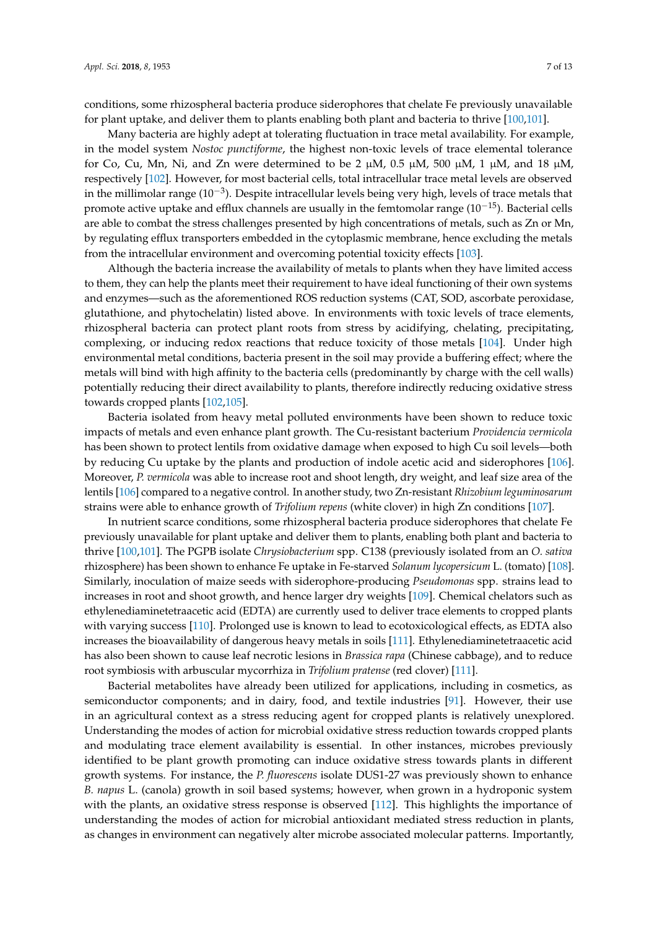conditions, some rhizospheral bacteria produce siderophores that chelate Fe previously unavailable for plant uptake, and deliver them to plants enabling both plant and bacteria to thrive [\[100](#page-11-18)[,101\]](#page-11-19).

Many bacteria are highly adept at tolerating fluctuation in trace metal availability. For example, in the model system *Nostoc punctiforme*, the highest non-toxic levels of trace elemental tolerance for Co, Cu, Mn, Ni, and Zn were determined to be 2  $\mu$ M, 0.5  $\mu$ M, 500  $\mu$ M, 1  $\mu$ M, and 18  $\mu$ M, respectively [\[102\]](#page-11-20). However, for most bacterial cells, total intracellular trace metal levels are observed in the millimolar range (10−<sup>3</sup> ). Despite intracellular levels being very high, levels of trace metals that promote active uptake and efflux channels are usually in the femtomolar range (10−15). Bacterial cells are able to combat the stress challenges presented by high concentrations of metals, such as Zn or Mn, by regulating efflux transporters embedded in the cytoplasmic membrane, hence excluding the metals from the intracellular environment and overcoming potential toxicity effects [\[103\]](#page-12-0).

Although the bacteria increase the availability of metals to plants when they have limited access to them, they can help the plants meet their requirement to have ideal functioning of their own systems and enzymes—such as the aforementioned ROS reduction systems (CAT, SOD, ascorbate peroxidase, glutathione, and phytochelatin) listed above. In environments with toxic levels of trace elements, rhizospheral bacteria can protect plant roots from stress by acidifying, chelating, precipitating, complexing, or inducing redox reactions that reduce toxicity of those metals [\[104\]](#page-12-1). Under high environmental metal conditions, bacteria present in the soil may provide a buffering effect; where the metals will bind with high affinity to the bacteria cells (predominantly by charge with the cell walls) potentially reducing their direct availability to plants, therefore indirectly reducing oxidative stress towards cropped plants [\[102](#page-11-20)[,105\]](#page-12-2).

Bacteria isolated from heavy metal polluted environments have been shown to reduce toxic impacts of metals and even enhance plant growth. The Cu-resistant bacterium *Providencia vermicola* has been shown to protect lentils from oxidative damage when exposed to high Cu soil levels—both by reducing Cu uptake by the plants and production of indole acetic acid and siderophores [\[106\]](#page-12-3). Moreover, *P. vermicola* was able to increase root and shoot length, dry weight, and leaf size area of the lentils [\[106\]](#page-12-3) compared to a negative control. In another study, two Zn-resistant *Rhizobium leguminosarum* strains were able to enhance growth of *Trifolium repens* (white clover) in high Zn conditions [\[107\]](#page-12-4).

In nutrient scarce conditions, some rhizospheral bacteria produce siderophores that chelate Fe previously unavailable for plant uptake and deliver them to plants, enabling both plant and bacteria to thrive [\[100,](#page-11-18)[101\]](#page-11-19). The PGPB isolate *Chrysiobacterium* spp. C138 (previously isolated from an *O. sativa* rhizosphere) has been shown to enhance Fe uptake in Fe-starved *Solanum lycopersicum* L. (tomato) [\[108\]](#page-12-5). Similarly, inoculation of maize seeds with siderophore-producing *Pseudomonas* spp. strains lead to increases in root and shoot growth, and hence larger dry weights [\[109\]](#page-12-6). Chemical chelators such as ethylenediaminetetraacetic acid (EDTA) are currently used to deliver trace elements to cropped plants with varying success [\[110\]](#page-12-7). Prolonged use is known to lead to ecotoxicological effects, as EDTA also increases the bioavailability of dangerous heavy metals in soils [\[111\]](#page-12-8). Ethylenediaminetetraacetic acid has also been shown to cause leaf necrotic lesions in *Brassica rapa* (Chinese cabbage), and to reduce root symbiosis with arbuscular mycorrhiza in *Trifolium pratense* (red clover) [\[111\]](#page-12-8).

Bacterial metabolites have already been utilized for applications, including in cosmetics, as semiconductor components; and in dairy, food, and textile industries [\[91\]](#page-11-9). However, their use in an agricultural context as a stress reducing agent for cropped plants is relatively unexplored. Understanding the modes of action for microbial oxidative stress reduction towards cropped plants and modulating trace element availability is essential. In other instances, microbes previously identified to be plant growth promoting can induce oxidative stress towards plants in different growth systems. For instance, the *P. fluorescens* isolate DUS1-27 was previously shown to enhance *B. napus* L. (canola) growth in soil based systems; however, when grown in a hydroponic system with the plants, an oxidative stress response is observed [\[112\]](#page-12-9). This highlights the importance of understanding the modes of action for microbial antioxidant mediated stress reduction in plants, as changes in environment can negatively alter microbe associated molecular patterns. Importantly,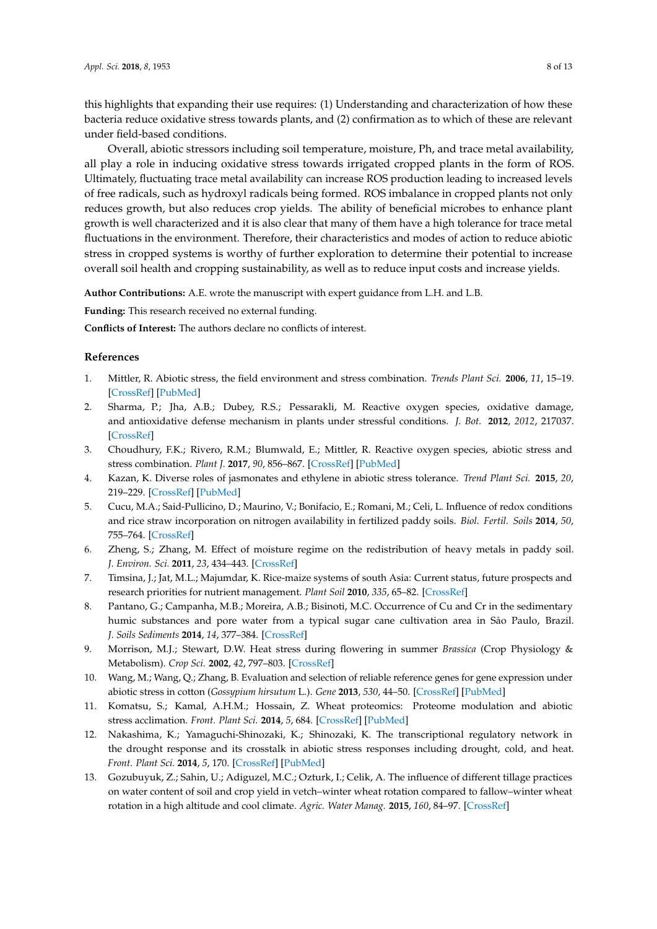this highlights that expanding their use requires: (1) Understanding and characterization of how these bacteria reduce oxidative stress towards plants, and (2) confirmation as to which of these are relevant under field-based conditions.

Overall, abiotic stressors including soil temperature, moisture, Ph, and trace metal availability, all play a role in inducing oxidative stress towards irrigated cropped plants in the form of ROS. Ultimately, fluctuating trace metal availability can increase ROS production leading to increased levels of free radicals, such as hydroxyl radicals being formed. ROS imbalance in cropped plants not only reduces growth, but also reduces crop yields. The ability of beneficial microbes to enhance plant growth is well characterized and it is also clear that many of them have a high tolerance for trace metal fluctuations in the environment. Therefore, their characteristics and modes of action to reduce abiotic stress in cropped systems is worthy of further exploration to determine their potential to increase overall soil health and cropping sustainability, as well as to reduce input costs and increase yields.

**Author Contributions:** A.E. wrote the manuscript with expert guidance from L.H. and L.B.

**Funding:** This research received no external funding.

**Conflicts of Interest:** The authors declare no conflicts of interest.

### **References**

- <span id="page-7-0"></span>1. Mittler, R. Abiotic stress, the field environment and stress combination. *Trends Plant Sci.* **2006**, *11*, 15–19. [\[CrossRef\]](http://dx.doi.org/10.1016/j.tplants.2005.11.002) [\[PubMed\]](http://www.ncbi.nlm.nih.gov/pubmed/16359910)
- <span id="page-7-6"></span>2. Sharma, P.; Jha, A.B.; Dubey, R.S.; Pessarakli, M. Reactive oxygen species, oxidative damage, and antioxidative defense mechanism in plants under stressful conditions. *J. Bot.* **2012**, *2012*, 217037. [\[CrossRef\]](http://dx.doi.org/10.1155/2012/217037)
- <span id="page-7-4"></span>3. Choudhury, F.K.; Rivero, R.M.; Blumwald, E.; Mittler, R. Reactive oxygen species, abiotic stress and stress combination. *Plant J.* **2017**, *90*, 856–867. [\[CrossRef\]](http://dx.doi.org/10.1111/tpj.13299) [\[PubMed\]](http://www.ncbi.nlm.nih.gov/pubmed/27801967)
- <span id="page-7-5"></span>4. Kazan, K. Diverse roles of jasmonates and ethylene in abiotic stress tolerance. *Trend Plant Sci.* **2015**, *20*, 219–229. [\[CrossRef\]](http://dx.doi.org/10.1016/j.tplants.2015.02.001) [\[PubMed\]](http://www.ncbi.nlm.nih.gov/pubmed/25731753)
- 5. Cucu, M.A.; Said-Pullicino, D.; Maurino, V.; Bonifacio, E.; Romani, M.; Celi, L. Influence of redox conditions and rice straw incorporation on nitrogen availability in fertilized paddy soils. *Biol. Fertil. Soils* **2014**, *50*, 755–764. [\[CrossRef\]](http://dx.doi.org/10.1007/s00374-013-0893-4)
- <span id="page-7-3"></span>6. Zheng, S.; Zhang, M. Effect of moisture regime on the redistribution of heavy metals in paddy soil. *J. Environ. Sci.* **2011**, *23*, 434–443. [\[CrossRef\]](http://dx.doi.org/10.1016/S1001-0742(10)60428-7)
- 7. Timsina, J.; Jat, M.L.; Majumdar, K. Rice-maize systems of south Asia: Current status, future prospects and research priorities for nutrient management. *Plant Soil* **2010**, *335*, 65–82. [\[CrossRef\]](http://dx.doi.org/10.1007/s11104-010-0418-y)
- 8. Pantano, G.; Campanha, M.B.; Moreira, A.B.; Bisinoti, M.C. Occurrence of Cu and Cr in the sedimentary humic substances and pore water from a typical sugar cane cultivation area in São Paulo, Brazil. *J. Soils Sediments* **2014**, *14*, 377–384. [\[CrossRef\]](http://dx.doi.org/10.1007/s11368-013-0763-6)
- 9. Morrison, M.J.; Stewart, D.W. Heat stress during flowering in summer *Brassica* (Crop Physiology & Metabolism). *Crop Sci.* **2002**, *42*, 797–803. [\[CrossRef\]](http://dx.doi.org/10.2135/cropsci2002.7970)
- 10. Wang, M.; Wang, Q.; Zhang, B. Evaluation and selection of reliable reference genes for gene expression under abiotic stress in cotton (*Gossypium hirsutum* L.). *Gene* **2013**, *530*, 44–50. [\[CrossRef\]](http://dx.doi.org/10.1016/j.gene.2013.07.084) [\[PubMed\]](http://www.ncbi.nlm.nih.gov/pubmed/23933278)
- 11. Komatsu, S.; Kamal, A.H.M.; Hossain, Z. Wheat proteomics: Proteome modulation and abiotic stress acclimation. *Front. Plant Sci.* **2014**, *5*, 684. [\[CrossRef\]](http://dx.doi.org/10.3389/fpls.2014.00684) [\[PubMed\]](http://www.ncbi.nlm.nih.gov/pubmed/25538718)
- <span id="page-7-1"></span>12. Nakashima, K.; Yamaguchi-Shinozaki, K.; Shinozaki, K. The transcriptional regulatory network in the drought response and its crosstalk in abiotic stress responses including drought, cold, and heat. *Front. Plant Sci.* **2014**, *5*, 170. [\[CrossRef\]](http://dx.doi.org/10.3389/fpls.2014.00170) [\[PubMed\]](http://www.ncbi.nlm.nih.gov/pubmed/24904597)
- <span id="page-7-2"></span>13. Gozubuyuk, Z.; Sahin, U.; Adiguzel, M.C.; Ozturk, I.; Celik, A. The influence of different tillage practices on water content of soil and crop yield in vetch–winter wheat rotation compared to fallow–winter wheat rotation in a high altitude and cool climate. *Agric. Water Manag.* **2015**, *160*, 84–97. [\[CrossRef\]](http://dx.doi.org/10.1016/j.agwat.2015.07.003)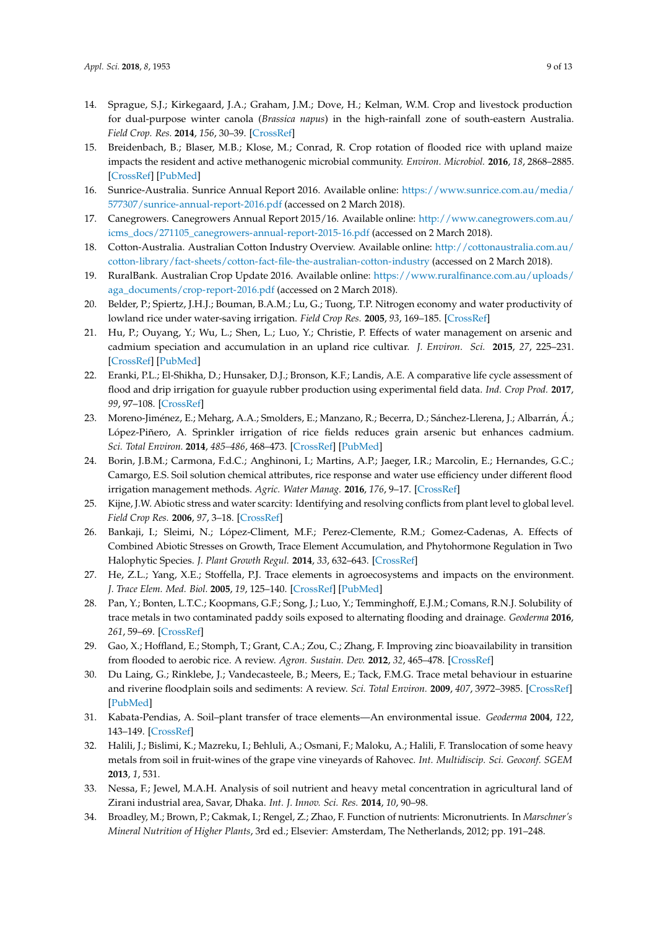- 14. Sprague, S.J.; Kirkegaard, J.A.; Graham, J.M.; Dove, H.; Kelman, W.M. Crop and livestock production for dual-purpose winter canola (*Brassica napus*) in the high-rainfall zone of south-eastern Australia. *Field Crop. Res.* **2014**, *156*, 30–39. [\[CrossRef\]](http://dx.doi.org/10.1016/j.fcr.2013.10.010)
- <span id="page-8-0"></span>15. Breidenbach, B.; Blaser, M.B.; Klose, M.; Conrad, R. Crop rotation of flooded rice with upland maize impacts the resident and active methanogenic microbial community. *Environ. Microbiol.* **2016**, *18*, 2868–2885. [\[CrossRef\]](http://dx.doi.org/10.1111/1462-2920.13041) [\[PubMed\]](http://www.ncbi.nlm.nih.gov/pubmed/26337675)
- <span id="page-8-1"></span>16. Sunrice-Australia. Sunrice Annual Report 2016. Available online: [https://www.sunrice.com.au/media/](https://www.sunrice.com.au/media/577307/sunrice-annual-report-2016.pdf) [577307/sunrice-annual-report-2016.pdf](https://www.sunrice.com.au/media/577307/sunrice-annual-report-2016.pdf) (accessed on 2 March 2018).
- 17. Canegrowers. Canegrowers Annual Report 2015/16. Available online: [http://www.canegrowers.com.au/](http://www.canegrowers.com.au/icms_docs/271105_canegrowers-annual-report-2015-16.pdf) [icms\\_docs/271105\\_canegrowers-annual-report-2015-16.pdf](http://www.canegrowers.com.au/icms_docs/271105_canegrowers-annual-report-2015-16.pdf) (accessed on 2 March 2018).
- <span id="page-8-2"></span>18. Cotton-Australia. Australian Cotton Industry Overview. Available online: [http://cottonaustralia.com.au/](http://cottonaustralia.com.au/cotton-library/fact-sheets/cotton-fact-file-the-australian-cotton-industry) [cotton-library/fact-sheets/cotton-fact-file-the-australian-cotton-industry](http://cottonaustralia.com.au/cotton-library/fact-sheets/cotton-fact-file-the-australian-cotton-industry) (accessed on 2 March 2018).
- <span id="page-8-3"></span>19. RuralBank. Australian Crop Update 2016. Available online: [https://www.ruralfinance.com.au/uploads/](https://www.ruralfinance.com.au/uploads/aga_documents/crop-report-2016.pdf) [aga\\_documents/crop-report-2016.pdf](https://www.ruralfinance.com.au/uploads/aga_documents/crop-report-2016.pdf) (accessed on 2 March 2018).
- <span id="page-8-4"></span>20. Belder, P.; Spiertz, J.H.J.; Bouman, B.A.M.; Lu, G.; Tuong, T.P. Nitrogen economy and water productivity of lowland rice under water-saving irrigation. *Field Crop Res.* **2005**, *93*, 169–185. [\[CrossRef\]](http://dx.doi.org/10.1016/j.fcr.2004.09.022)
- <span id="page-8-5"></span>21. Hu, P.; Ouyang, Y.; Wu, L.; Shen, L.; Luo, Y.; Christie, P. Effects of water management on arsenic and cadmium speciation and accumulation in an upland rice cultivar. *J. Environ. Sci.* **2015**, *27*, 225–231. [\[CrossRef\]](http://dx.doi.org/10.1016/j.jes.2014.05.048) [\[PubMed\]](http://www.ncbi.nlm.nih.gov/pubmed/25597681)
- <span id="page-8-6"></span>22. Eranki, P.L.; El-Shikha, D.; Hunsaker, D.J.; Bronson, K.F.; Landis, A.E. A comparative life cycle assessment of flood and drip irrigation for guayule rubber production using experimental field data. *Ind. Crop Prod.* **2017**, *99*, 97–108. [\[CrossRef\]](http://dx.doi.org/10.1016/j.indcrop.2017.01.020)
- <span id="page-8-7"></span>23. Moreno-Jiménez, E.; Meharg, A.A.; Smolders, E.; Manzano, R.; Becerra, D.; Sánchez-Llerena, J.; Albarrán, Á.; López-Piñero, A. Sprinkler irrigation of rice fields reduces grain arsenic but enhances cadmium. *Sci. Total Environ.* **2014**, *485–486*, 468–473. [\[CrossRef\]](http://dx.doi.org/10.1016/j.scitotenv.2014.03.106) [\[PubMed\]](http://www.ncbi.nlm.nih.gov/pubmed/24742557)
- <span id="page-8-8"></span>24. Borin, J.B.M.; Carmona, F.d.C.; Anghinoni, I.; Martins, A.P.; Jaeger, I.R.; Marcolin, E.; Hernandes, G.C.; Camargo, E.S. Soil solution chemical attributes, rice response and water use efficiency under different flood irrigation management methods. *Agric. Water Manag.* **2016**, *176*, 9–17. [\[CrossRef\]](http://dx.doi.org/10.1016/j.agwat.2016.05.021)
- <span id="page-8-9"></span>25. Kijne, J.W. Abiotic stress and water scarcity: Identifying and resolving conflicts from plant level to global level. *Field Crop Res.* **2006**, *97*, 3–18. [\[CrossRef\]](http://dx.doi.org/10.1016/j.fcr.2005.08.011)
- <span id="page-8-10"></span>26. Bankaji, I.; Sleimi, N.; López-Climent, M.F.; Perez-Clemente, R.M.; Gomez-Cadenas, A. Effects of Combined Abiotic Stresses on Growth, Trace Element Accumulation, and Phytohormone Regulation in Two Halophytic Species. *J. Plant Growth Regul.* **2014**, *33*, 632–643. [\[CrossRef\]](http://dx.doi.org/10.1007/s00344-014-9413-5)
- <span id="page-8-11"></span>27. He, Z.L.; Yang, X.E.; Stoffella, P.J. Trace elements in agroecosystems and impacts on the environment. *J. Trace Elem. Med. Biol.* **2005**, *19*, 125–140. [\[CrossRef\]](http://dx.doi.org/10.1016/j.jtemb.2005.02.010) [\[PubMed\]](http://www.ncbi.nlm.nih.gov/pubmed/16325528)
- <span id="page-8-12"></span>28. Pan, Y.; Bonten, L.T.C.; Koopmans, G.F.; Song, J.; Luo, Y.; Temminghoff, E.J.M.; Comans, R.N.J. Solubility of trace metals in two contaminated paddy soils exposed to alternating flooding and drainage. *Geoderma* **2016**, *261*, 59–69. [\[CrossRef\]](http://dx.doi.org/10.1016/j.geoderma.2015.07.011)
- <span id="page-8-13"></span>29. Gao, X.; Hoffland, E.; Stomph, T.; Grant, C.A.; Zou, C.; Zhang, F. Improving zinc bioavailability in transition from flooded to aerobic rice. A review. *Agron. Sustain. Dev.* **2012**, *32*, 465–478. [\[CrossRef\]](http://dx.doi.org/10.1007/s13593-011-0053-x)
- <span id="page-8-14"></span>30. Du Laing, G.; Rinklebe, J.; Vandecasteele, B.; Meers, E.; Tack, F.M.G. Trace metal behaviour in estuarine and riverine floodplain soils and sediments: A review. *Sci. Total Environ.* **2009**, *407*, 3972–3985. [\[CrossRef\]](http://dx.doi.org/10.1016/j.scitotenv.2008.07.025) [\[PubMed\]](http://www.ncbi.nlm.nih.gov/pubmed/18786698)
- <span id="page-8-15"></span>31. Kabata-Pendias, A. Soil–plant transfer of trace elements—An environmental issue. *Geoderma* **2004**, *122*, 143–149. [\[CrossRef\]](http://dx.doi.org/10.1016/j.geoderma.2004.01.004)
- <span id="page-8-16"></span>32. Halili, J.; Bislimi, K.; Mazreku, I.; Behluli, A.; Osmani, F.; Maloku, A.; Halili, F. Translocation of some heavy metals from soil in fruit-wines of the grape vine vineyards of Rahovec. *Int. Multidiscip. Sci. Geoconf. SGEM* **2013**, *1*, 531.
- <span id="page-8-17"></span>33. Nessa, F.; Jewel, M.A.H. Analysis of soil nutrient and heavy metal concentration in agricultural land of Zirani industrial area, Savar, Dhaka. *Int. J. Innov. Sci. Res.* **2014**, *10*, 90–98.
- <span id="page-8-18"></span>34. Broadley, M.; Brown, P.; Cakmak, I.; Rengel, Z.; Zhao, F. Function of nutrients: Micronutrients. In *Marschner's Mineral Nutrition of Higher Plants*, 3rd ed.; Elsevier: Amsterdam, The Netherlands, 2012; pp. 191–248.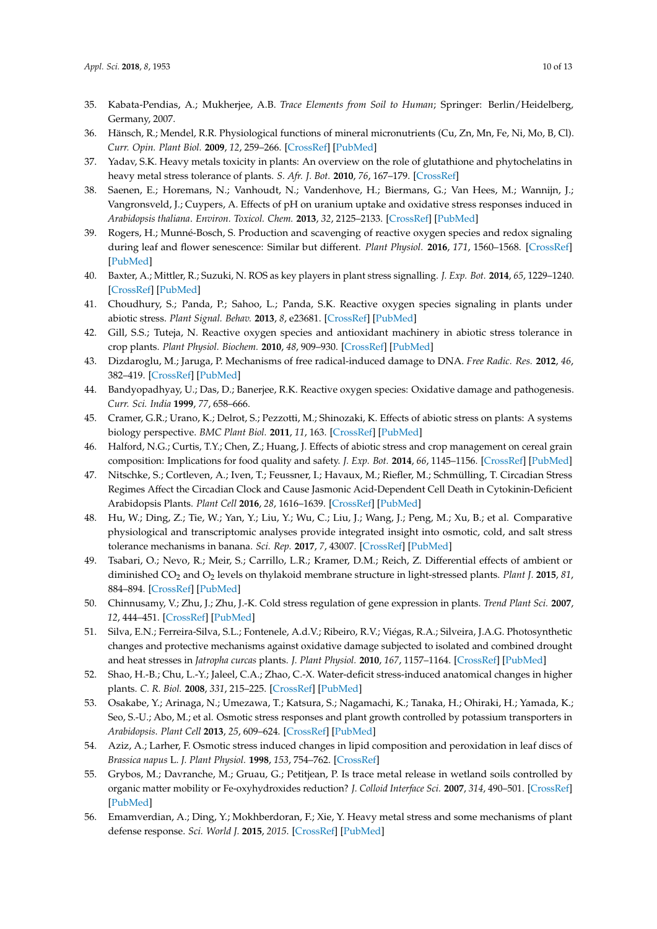- <span id="page-9-0"></span>35. Kabata-Pendias, A.; Mukherjee, A.B. *Trace Elements from Soil to Human*; Springer: Berlin/Heidelberg, Germany, 2007.
- <span id="page-9-1"></span>36. Hänsch, R.; Mendel, R.R. Physiological functions of mineral micronutrients (Cu, Zn, Mn, Fe, Ni, Mo, B, Cl). *Curr. Opin. Plant Biol.* **2009**, *12*, 259–266. [\[CrossRef\]](http://dx.doi.org/10.1016/j.pbi.2009.05.006) [\[PubMed\]](http://www.ncbi.nlm.nih.gov/pubmed/19524482)
- <span id="page-9-2"></span>37. Yadav, S.K. Heavy metals toxicity in plants: An overview on the role of glutathione and phytochelatins in heavy metal stress tolerance of plants. *S. Afr. J. Bot.* **2010**, *76*, 167–179. [\[CrossRef\]](http://dx.doi.org/10.1016/j.sajb.2009.10.007)
- <span id="page-9-3"></span>38. Saenen, E.; Horemans, N.; Vanhoudt, N.; Vandenhove, H.; Biermans, G.; Van Hees, M.; Wannijn, J.; Vangronsveld, J.; Cuypers, A. Effects of pH on uranium uptake and oxidative stress responses induced in *Arabidopsis thaliana*. *Environ. Toxicol. Chem.* **2013**, *32*, 2125–2133. [\[CrossRef\]](http://dx.doi.org/10.1002/etc.2290) [\[PubMed\]](http://www.ncbi.nlm.nih.gov/pubmed/23737149)
- <span id="page-9-4"></span>39. Rogers, H.; Munné-Bosch, S. Production and scavenging of reactive oxygen species and redox signaling during leaf and flower senescence: Similar but different. *Plant Physiol.* **2016**, *171*, 1560–1568. [\[CrossRef\]](http://dx.doi.org/10.1104/pp.16.00163) [\[PubMed\]](http://www.ncbi.nlm.nih.gov/pubmed/27208233)
- <span id="page-9-21"></span>40. Baxter, A.; Mittler, R.; Suzuki, N. ROS as key players in plant stress signalling. *J. Exp. Bot.* **2014**, *65*, 1229–1240. [\[CrossRef\]](http://dx.doi.org/10.1093/jxb/ert375) [\[PubMed\]](http://www.ncbi.nlm.nih.gov/pubmed/24253197)
- <span id="page-9-5"></span>41. Choudhury, S.; Panda, P.; Sahoo, L.; Panda, S.K. Reactive oxygen species signaling in plants under abiotic stress. *Plant Signal. Behav.* **2013**, *8*, e23681. [\[CrossRef\]](http://dx.doi.org/10.4161/psb.23681) [\[PubMed\]](http://www.ncbi.nlm.nih.gov/pubmed/23425848)
- <span id="page-9-6"></span>42. Gill, S.S.; Tuteja, N. Reactive oxygen species and antioxidant machinery in abiotic stress tolerance in crop plants. *Plant Physiol. Biochem.* **2010**, *48*, 909–930. [\[CrossRef\]](http://dx.doi.org/10.1016/j.plaphy.2010.08.016) [\[PubMed\]](http://www.ncbi.nlm.nih.gov/pubmed/20870416)
- <span id="page-9-7"></span>43. Dizdaroglu, M.; Jaruga, P. Mechanisms of free radical-induced damage to DNA. *Free Radic. Res.* **2012**, *46*, 382–419. [\[CrossRef\]](http://dx.doi.org/10.3109/10715762.2011.653969) [\[PubMed\]](http://www.ncbi.nlm.nih.gov/pubmed/22276778)
- <span id="page-9-8"></span>44. Bandyopadhyay, U.; Das, D.; Banerjee, R.K. Reactive oxygen species: Oxidative damage and pathogenesis. *Curr. Sci. India* **1999**, *77*, 658–666.
- <span id="page-9-9"></span>45. Cramer, G.R.; Urano, K.; Delrot, S.; Pezzotti, M.; Shinozaki, K. Effects of abiotic stress on plants: A systems biology perspective. *BMC Plant Biol.* **2011**, *11*, 163. [\[CrossRef\]](http://dx.doi.org/10.1186/1471-2229-11-163) [\[PubMed\]](http://www.ncbi.nlm.nih.gov/pubmed/22094046)
- <span id="page-9-10"></span>46. Halford, N.G.; Curtis, T.Y.; Chen, Z.; Huang, J. Effects of abiotic stress and crop management on cereal grain composition: Implications for food quality and safety. *J. Exp. Bot.* **2014**, *66*, 1145–1156. [\[CrossRef\]](http://dx.doi.org/10.1093/jxb/eru473) [\[PubMed\]](http://www.ncbi.nlm.nih.gov/pubmed/25428997)
- <span id="page-9-11"></span>47. Nitschke, S.; Cortleven, A.; Iven, T.; Feussner, I.; Havaux, M.; Riefler, M.; Schmülling, T. Circadian Stress Regimes Affect the Circadian Clock and Cause Jasmonic Acid-Dependent Cell Death in Cytokinin-Deficient Arabidopsis Plants. *Plant Cell* **2016**, *28*, 1616–1639. [\[CrossRef\]](http://dx.doi.org/10.1105/tpc.16.00016) [\[PubMed\]](http://www.ncbi.nlm.nih.gov/pubmed/27354555)
- <span id="page-9-12"></span>48. Hu, W.; Ding, Z.; Tie, W.; Yan, Y.; Liu, Y.; Wu, C.; Liu, J.; Wang, J.; Peng, M.; Xu, B.; et al. Comparative physiological and transcriptomic analyses provide integrated insight into osmotic, cold, and salt stress tolerance mechanisms in banana. *Sci. Rep.* **2017**, *7*, 43007. [\[CrossRef\]](http://dx.doi.org/10.1038/srep43007) [\[PubMed\]](http://www.ncbi.nlm.nih.gov/pubmed/28223714)
- <span id="page-9-13"></span>49. Tsabari, O.; Nevo, R.; Meir, S.; Carrillo, L.R.; Kramer, D.M.; Reich, Z. Differential effects of ambient or diminished CO<sup>2</sup> and O<sup>2</sup> levels on thylakoid membrane structure in light-stressed plants. *Plant J.* **2015**, *81*, 884–894. [\[CrossRef\]](http://dx.doi.org/10.1111/tpj.12774) [\[PubMed\]](http://www.ncbi.nlm.nih.gov/pubmed/25619921)
- <span id="page-9-14"></span>50. Chinnusamy, V.; Zhu, J.; Zhu, J.-K. Cold stress regulation of gene expression in plants. *Trend Plant Sci.* **2007**, *12*, 444–451. [\[CrossRef\]](http://dx.doi.org/10.1016/j.tplants.2007.07.002) [\[PubMed\]](http://www.ncbi.nlm.nih.gov/pubmed/17855156)
- <span id="page-9-15"></span>51. Silva, E.N.; Ferreira-Silva, S.L.; Fontenele, A.d.V.; Ribeiro, R.V.; Viégas, R.A.; Silveira, J.A.G. Photosynthetic changes and protective mechanisms against oxidative damage subjected to isolated and combined drought and heat stresses in *Jatropha curcas* plants. *J. Plant Physiol.* **2010**, *167*, 1157–1164. [\[CrossRef\]](http://dx.doi.org/10.1016/j.jplph.2010.03.005) [\[PubMed\]](http://www.ncbi.nlm.nih.gov/pubmed/20417989)
- <span id="page-9-16"></span>52. Shao, H.-B.; Chu, L.-Y.; Jaleel, C.A.; Zhao, C.-X. Water-deficit stress-induced anatomical changes in higher plants. *C. R. Biol.* **2008**, *331*, 215–225. [\[CrossRef\]](http://dx.doi.org/10.1016/j.crvi.2008.01.002) [\[PubMed\]](http://www.ncbi.nlm.nih.gov/pubmed/18280987)
- <span id="page-9-17"></span>53. Osakabe, Y.; Arinaga, N.; Umezawa, T.; Katsura, S.; Nagamachi, K.; Tanaka, H.; Ohiraki, H.; Yamada, K.; Seo, S.-U.; Abo, M.; et al. Osmotic stress responses and plant growth controlled by potassium transporters in *Arabidopsis*. *Plant Cell* **2013**, *25*, 609–624. [\[CrossRef\]](http://dx.doi.org/10.1105/tpc.112.105700) [\[PubMed\]](http://www.ncbi.nlm.nih.gov/pubmed/23396830)
- <span id="page-9-18"></span>54. Aziz, A.; Larher, F. Osmotic stress induced changes in lipid composition and peroxidation in leaf discs of *Brassica napus* L. *J. Plant Physiol.* **1998**, *153*, 754–762. [\[CrossRef\]](http://dx.doi.org/10.1016/S0176-1617(98)80231-9)
- <span id="page-9-19"></span>55. Grybos, M.; Davranche, M.; Gruau, G.; Petitjean, P. Is trace metal release in wetland soils controlled by organic matter mobility or Fe-oxyhydroxides reduction? *J. Colloid Interface Sci.* **2007**, *314*, 490–501. [\[CrossRef\]](http://dx.doi.org/10.1016/j.jcis.2007.04.062) [\[PubMed\]](http://www.ncbi.nlm.nih.gov/pubmed/17692327)
- <span id="page-9-20"></span>56. Emamverdian, A.; Ding, Y.; Mokhberdoran, F.; Xie, Y. Heavy metal stress and some mechanisms of plant defense response. *Sci. World J.* **2015**, *2015*. [\[CrossRef\]](http://dx.doi.org/10.1155/2015/756120) [\[PubMed\]](http://www.ncbi.nlm.nih.gov/pubmed/25688377)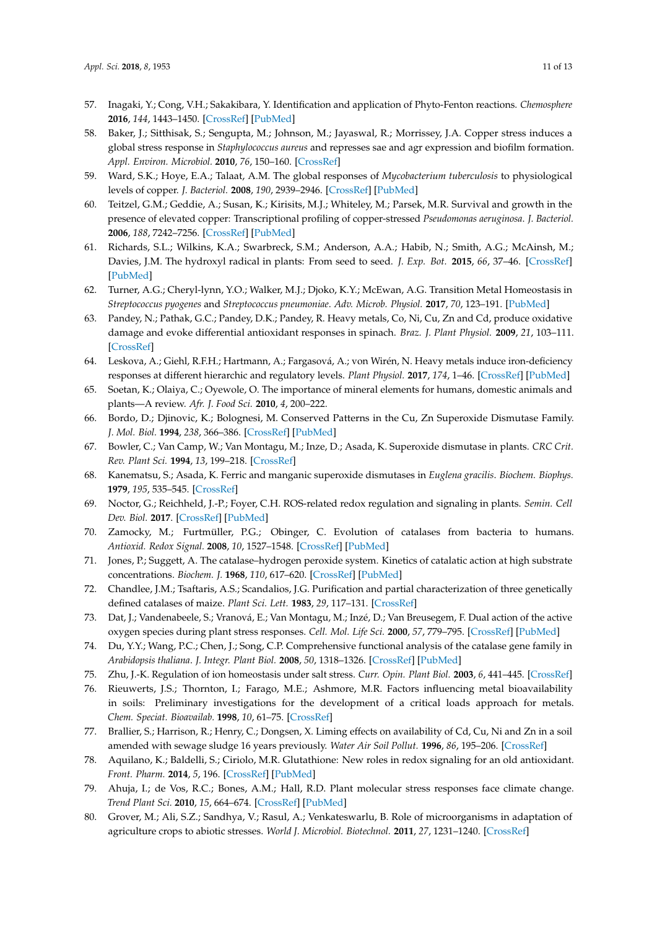- <span id="page-10-0"></span>57. Inagaki, Y.; Cong, V.H.; Sakakibara, Y. Identification and application of Phyto-Fenton reactions. *Chemosphere* **2016**, *144*, 1443–1450. [\[CrossRef\]](http://dx.doi.org/10.1016/j.chemosphere.2015.10.039) [\[PubMed\]](http://www.ncbi.nlm.nih.gov/pubmed/26495829)
- <span id="page-10-1"></span>58. Baker, J.; Sitthisak, S.; Sengupta, M.; Johnson, M.; Jayaswal, R.; Morrissey, J.A. Copper stress induces a global stress response in *Staphylococcus aureus* and represses sae and agr expression and biofilm formation. *Appl. Environ. Microbiol.* **2010**, *76*, 150–160. [\[CrossRef\]](http://dx.doi.org/10.1128/AEM.02268-09)
- <span id="page-10-2"></span>59. Ward, S.K.; Hoye, E.A.; Talaat, A.M. The global responses of *Mycobacterium tuberculosis* to physiological levels of copper. *J. Bacteriol.* **2008**, *190*, 2939–2946. [\[CrossRef\]](http://dx.doi.org/10.1128/JB.01847-07) [\[PubMed\]](http://www.ncbi.nlm.nih.gov/pubmed/18263720)
- <span id="page-10-3"></span>60. Teitzel, G.M.; Geddie, A.; Susan, K.; Kirisits, M.J.; Whiteley, M.; Parsek, M.R. Survival and growth in the presence of elevated copper: Transcriptional profiling of copper-stressed *Pseudomonas aeruginosa*. *J. Bacteriol.* **2006**, *188*, 7242–7256. [\[CrossRef\]](http://dx.doi.org/10.1128/JB.00837-06) [\[PubMed\]](http://www.ncbi.nlm.nih.gov/pubmed/17015663)
- <span id="page-10-4"></span>61. Richards, S.L.; Wilkins, K.A.; Swarbreck, S.M.; Anderson, A.A.; Habib, N.; Smith, A.G.; McAinsh, M.; Davies, J.M. The hydroxyl radical in plants: From seed to seed. *J. Exp. Bot.* **2015**, *66*, 37–46. [\[CrossRef\]](http://dx.doi.org/10.1093/jxb/eru398) [\[PubMed\]](http://www.ncbi.nlm.nih.gov/pubmed/25294918)
- <span id="page-10-5"></span>62. Turner, A.G.; Cheryl-lynn, Y.O.; Walker, M.J.; Djoko, K.Y.; McEwan, A.G. Transition Metal Homeostasis in *Streptococcus pyogenes* and *Streptococcus pneumoniae*. *Adv. Microb. Physiol.* **2017**, *70*, 123–191. [\[PubMed\]](http://www.ncbi.nlm.nih.gov/pubmed/28528647)
- <span id="page-10-6"></span>63. Pandey, N.; Pathak, G.C.; Pandey, D.K.; Pandey, R. Heavy metals, Co, Ni, Cu, Zn and Cd, produce oxidative damage and evoke differential antioxidant responses in spinach. *Braz. J. Plant Physiol.* **2009**, *21*, 103–111. [\[CrossRef\]](http://dx.doi.org/10.1590/S1677-04202009000200003)
- <span id="page-10-7"></span>64. Leskova, A.; Giehl, R.F.H.; Hartmann, A.; Fargasová, A.; von Wirén, N. Heavy metals induce iron-deficiency responses at different hierarchic and regulatory levels. *Plant Physiol.* **2017**, *174*, 1–46. [\[CrossRef\]](http://dx.doi.org/10.1104/pp.16.01916) [\[PubMed\]](http://www.ncbi.nlm.nih.gov/pubmed/28500270)
- <span id="page-10-8"></span>65. Soetan, K.; Olaiya, C.; Oyewole, O. The importance of mineral elements for humans, domestic animals and plants—A review. *Afr. J. Food Sci.* **2010**, *4*, 200–222.
- <span id="page-10-9"></span>66. Bordo, D.; Djinovic, K.; Bolognesi, M. Conserved Patterns in the Cu, Zn Superoxide Dismutase Family. *J. Mol. Biol.* **1994**, *238*, 366–386. [\[CrossRef\]](http://dx.doi.org/10.1006/jmbi.1994.1298) [\[PubMed\]](http://www.ncbi.nlm.nih.gov/pubmed/8176730)
- 67. Bowler, C.; Van Camp, W.; Van Montagu, M.; Inze, D.; Asada, K. Superoxide dismutase in plants. *CRC Crit. Rev. Plant Sci.* **1994**, *13*, 199–218. [\[CrossRef\]](http://dx.doi.org/10.1080/07352689409701914)
- <span id="page-10-10"></span>68. Kanematsu, S.; Asada, K. Ferric and manganic superoxide dismutases in *Euglena gracilis*. *Biochem. Biophys.* **1979**, *195*, 535–545. [\[CrossRef\]](http://dx.doi.org/10.1016/0003-9861(79)90380-1)
- <span id="page-10-11"></span>69. Noctor, G.; Reichheld, J.-P.; Foyer, C.H. ROS-related redox regulation and signaling in plants. *Semin. Cell Dev. Biol.* **2017**. [\[CrossRef\]](http://dx.doi.org/10.1016/j.semcdb.2017.07.013) [\[PubMed\]](http://www.ncbi.nlm.nih.gov/pubmed/28733165)
- <span id="page-10-12"></span>70. Zamocky, M.; Furtmüller, P.G.; Obinger, C. Evolution of catalases from bacteria to humans. *Antioxid. Redox Signal.* **2008**, *10*, 1527–1548. [\[CrossRef\]](http://dx.doi.org/10.1089/ars.2008.2046) [\[PubMed\]](http://www.ncbi.nlm.nih.gov/pubmed/18498226)
- <span id="page-10-13"></span>71. Jones, P.; Suggett, A. The catalase–hydrogen peroxide system. Kinetics of catalatic action at high substrate concentrations. *Biochem. J.* **1968**, *110*, 617–620. [\[CrossRef\]](http://dx.doi.org/10.1042/bj1100617) [\[PubMed\]](http://www.ncbi.nlm.nih.gov/pubmed/5704811)
- <span id="page-10-14"></span>72. Chandlee, J.M.; Tsaftaris, A.S.; Scandalios, J.G. Purification and partial characterization of three genetically defined catalases of maize. *Plant Sci. Lett.* **1983**, *29*, 117–131. [\[CrossRef\]](http://dx.doi.org/10.1016/0304-4211(83)90136-0)
- <span id="page-10-15"></span>73. Dat, J.; Vandenabeele, S.; Vranová, E.; Van Montagu, M.; Inzé, D.; Van Breusegem, F. Dual action of the active oxygen species during plant stress responses. *Cell. Mol. Life Sci.* **2000**, *57*, 779–795. [\[CrossRef\]](http://dx.doi.org/10.1007/s000180050041) [\[PubMed\]](http://www.ncbi.nlm.nih.gov/pubmed/10892343)
- <span id="page-10-16"></span>74. Du, Y.Y.; Wang, P.C.; Chen, J.; Song, C.P. Comprehensive functional analysis of the catalase gene family in *Arabidopsis thaliana*. *J. Integr. Plant Biol.* **2008**, *50*, 1318–1326. [\[CrossRef\]](http://dx.doi.org/10.1111/j.1744-7909.2008.00741.x) [\[PubMed\]](http://www.ncbi.nlm.nih.gov/pubmed/19017119)
- <span id="page-10-17"></span>75. Zhu, J.-K. Regulation of ion homeostasis under salt stress. *Curr. Opin. Plant Biol.* **2003**, *6*, 441–445. [\[CrossRef\]](http://dx.doi.org/10.1016/S1369-5266(03)00085-2)
- <span id="page-10-18"></span>76. Rieuwerts, J.S.; Thornton, I.; Farago, M.E.; Ashmore, M.R. Factors influencing metal bioavailability in soils: Preliminary investigations for the development of a critical loads approach for metals. *Chem. Speciat. Bioavailab.* **1998**, *10*, 61–75. [\[CrossRef\]](http://dx.doi.org/10.3184/095422998782775835)
- <span id="page-10-19"></span>77. Brallier, S.; Harrison, R.; Henry, C.; Dongsen, X. Liming effects on availability of Cd, Cu, Ni and Zn in a soil amended with sewage sludge 16 years previously. *Water Air Soil Pollut.* **1996**, *86*, 195–206. [\[CrossRef\]](http://dx.doi.org/10.1007/BF00279156)
- <span id="page-10-20"></span>78. Aquilano, K.; Baldelli, S.; Ciriolo, M.R. Glutathione: New roles in redox signaling for an old antioxidant. *Front. Pharm.* **2014**, *5*, 196. [\[CrossRef\]](http://dx.doi.org/10.3389/fphar.2014.00196) [\[PubMed\]](http://www.ncbi.nlm.nih.gov/pubmed/25206336)
- <span id="page-10-21"></span>79. Ahuja, I.; de Vos, R.C.; Bones, A.M.; Hall, R.D. Plant molecular stress responses face climate change. *Trend Plant Sci.* **2010**, *15*, 664–674. [\[CrossRef\]](http://dx.doi.org/10.1016/j.tplants.2010.08.002) [\[PubMed\]](http://www.ncbi.nlm.nih.gov/pubmed/20846898)
- <span id="page-10-22"></span>80. Grover, M.; Ali, S.Z.; Sandhya, V.; Rasul, A.; Venkateswarlu, B. Role of microorganisms in adaptation of agriculture crops to abiotic stresses. *World J. Microbiol. Biotechnol.* **2011**, *27*, 1231–1240. [\[CrossRef\]](http://dx.doi.org/10.1007/s11274-010-0572-7)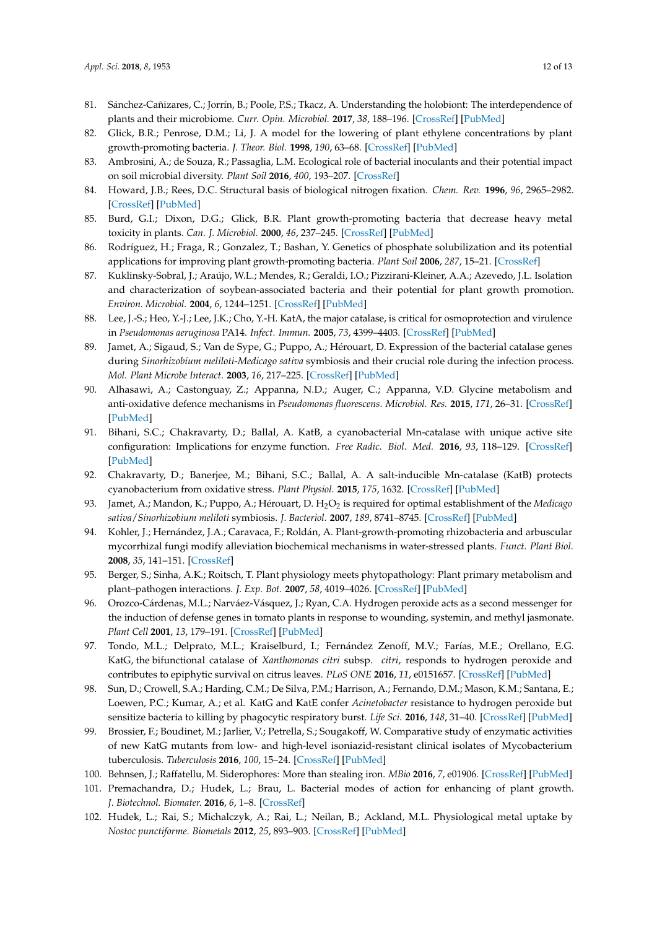- <span id="page-11-0"></span>81. Sánchez-Cañizares, C.; Jorrín, B.; Poole, P.S.; Tkacz, A. Understanding the holobiont: The interdependence of plants and their microbiome. *Curr. Opin. Microbiol.* **2017**, *38*, 188–196. [\[CrossRef\]](http://dx.doi.org/10.1016/j.mib.2017.07.001) [\[PubMed\]](http://www.ncbi.nlm.nih.gov/pubmed/28732267)
- 82. Glick, B.R.; Penrose, D.M.; Li, J. A model for the lowering of plant ethylene concentrations by plant growth-promoting bacteria. *J. Theor. Biol.* **1998**, *190*, 63–68. [\[CrossRef\]](http://dx.doi.org/10.1006/jtbi.1997.0532) [\[PubMed\]](http://www.ncbi.nlm.nih.gov/pubmed/9473391)
- <span id="page-11-1"></span>83. Ambrosini, A.; de Souza, R.; Passaglia, L.M. Ecological role of bacterial inoculants and their potential impact on soil microbial diversity. *Plant Soil* **2016**, *400*, 193–207. [\[CrossRef\]](http://dx.doi.org/10.1007/s11104-015-2727-7)
- <span id="page-11-2"></span>84. Howard, J.B.; Rees, D.C. Structural basis of biological nitrogen fixation. *Chem. Rev.* **1996**, *96*, 2965–2982. [\[CrossRef\]](http://dx.doi.org/10.1021/cr9500545) [\[PubMed\]](http://www.ncbi.nlm.nih.gov/pubmed/11848848)
- <span id="page-11-3"></span>85. Burd, G.I.; Dixon, D.G.; Glick, B.R. Plant growth-promoting bacteria that decrease heavy metal toxicity in plants. *Can. J. Microbiol.* **2000**, *46*, 237–245. [\[CrossRef\]](http://dx.doi.org/10.1139/w99-143) [\[PubMed\]](http://www.ncbi.nlm.nih.gov/pubmed/10749537)
- <span id="page-11-4"></span>86. Rodríguez, H.; Fraga, R.; Gonzalez, T.; Bashan, Y. Genetics of phosphate solubilization and its potential applications for improving plant growth-promoting bacteria. *Plant Soil* **2006**, *287*, 15–21. [\[CrossRef\]](http://dx.doi.org/10.1007/s11104-006-9056-9)
- <span id="page-11-5"></span>87. Kuklinsky-Sobral, J.; Araújo, W.L.; Mendes, R.; Geraldi, I.O.; Pizzirani-Kleiner, A.A.; Azevedo, J.L. Isolation and characterization of soybean-associated bacteria and their potential for plant growth promotion. *Environ. Microbiol.* **2004**, *6*, 1244–1251. [\[CrossRef\]](http://dx.doi.org/10.1111/j.1462-2920.2004.00658.x) [\[PubMed\]](http://www.ncbi.nlm.nih.gov/pubmed/15560822)
- <span id="page-11-6"></span>88. Lee, J.-S.; Heo, Y.-J.; Lee, J.K.; Cho, Y.-H. KatA, the major catalase, is critical for osmoprotection and virulence in *Pseudomonas aeruginosa* PA14. *Infect. Immun.* **2005**, *73*, 4399–4403. [\[CrossRef\]](http://dx.doi.org/10.1128/IAI.73.7.4399-4403.2005) [\[PubMed\]](http://www.ncbi.nlm.nih.gov/pubmed/15972537)
- <span id="page-11-7"></span>89. Jamet, A.; Sigaud, S.; Van de Sype, G.; Puppo, A.; Hérouart, D. Expression of the bacterial catalase genes during *Sinorhizobium meliloti*-*Medicago sativa* symbiosis and their crucial role during the infection process. *Mol. Plant Microbe Interact.* **2003**, *16*, 217–225. [\[CrossRef\]](http://dx.doi.org/10.1094/MPMI.2003.16.3.217) [\[PubMed\]](http://www.ncbi.nlm.nih.gov/pubmed/12650453)
- <span id="page-11-8"></span>90. Alhasawi, A.; Castonguay, Z.; Appanna, N.D.; Auger, C.; Appanna, V.D. Glycine metabolism and anti-oxidative defence mechanisms in *Pseudomonas fluorescens*. *Microbiol. Res.* **2015**, *171*, 26–31. [\[CrossRef\]](http://dx.doi.org/10.1016/j.micres.2014.12.001) [\[PubMed\]](http://www.ncbi.nlm.nih.gov/pubmed/25644949)
- <span id="page-11-9"></span>91. Bihani, S.C.; Chakravarty, D.; Ballal, A. KatB, a cyanobacterial Mn-catalase with unique active site configuration: Implications for enzyme function. *Free Radic. Biol. Med.* **2016**, *93*, 118–129. [\[CrossRef\]](http://dx.doi.org/10.1016/j.freeradbiomed.2016.01.022) [\[PubMed\]](http://www.ncbi.nlm.nih.gov/pubmed/26826576)
- <span id="page-11-10"></span>92. Chakravarty, D.; Banerjee, M.; Bihani, S.C.; Ballal, A. A salt-inducible Mn-catalase (KatB) protects cyanobacterium from oxidative stress. *Plant Physiol.* **2015**, *175*, 1632. [\[CrossRef\]](http://dx.doi.org/10.1104/pp.15.01632) [\[PubMed\]](http://www.ncbi.nlm.nih.gov/pubmed/26645454)
- <span id="page-11-11"></span>93. Jamet, A.; Mandon, K.; Puppo, A.; Hérouart, D. H2O<sup>2</sup> is required for optimal establishment of the *Medicago sativa*/*Sinorhizobium meliloti* symbiosis. *J. Bacteriol.* **2007**, *189*, 8741–8745. [\[CrossRef\]](http://dx.doi.org/10.1128/JB.01130-07) [\[PubMed\]](http://www.ncbi.nlm.nih.gov/pubmed/17921312)
- <span id="page-11-12"></span>94. Kohler, J.; Hernández, J.A.; Caravaca, F.; Roldán, A. Plant-growth-promoting rhizobacteria and arbuscular mycorrhizal fungi modify alleviation biochemical mechanisms in water-stressed plants. *Funct. Plant Biol.* **2008**, *35*, 141–151. [\[CrossRef\]](http://dx.doi.org/10.1071/FP07218)
- <span id="page-11-13"></span>95. Berger, S.; Sinha, A.K.; Roitsch, T. Plant physiology meets phytopathology: Plant primary metabolism and plant–pathogen interactions. *J. Exp. Bot.* **2007**, *58*, 4019–4026. [\[CrossRef\]](http://dx.doi.org/10.1093/jxb/erm298) [\[PubMed\]](http://www.ncbi.nlm.nih.gov/pubmed/18182420)
- <span id="page-11-14"></span>96. Orozco-Cárdenas, M.L.; Narváez-Vásquez, J.; Ryan, C.A. Hydrogen peroxide acts as a second messenger for the induction of defense genes in tomato plants in response to wounding, systemin, and methyl jasmonate. *Plant Cell* **2001**, *13*, 179–191. [\[CrossRef\]](http://dx.doi.org/10.1105/tpc.13.1.179) [\[PubMed\]](http://www.ncbi.nlm.nih.gov/pubmed/11158538)
- <span id="page-11-15"></span>97. Tondo, M.L.; Delprato, M.L.; Kraiselburd, I.; Fernández Zenoff, M.V.; Farías, M.E.; Orellano, E.G. KatG, the bifunctional catalase of *Xanthomonas citri* subsp. *citri*, responds to hydrogen peroxide and contributes to epiphytic survival on citrus leaves. *PLoS ONE* **2016**, *11*, e0151657. [\[CrossRef\]](http://dx.doi.org/10.1371/journal.pone.0151657) [\[PubMed\]](http://www.ncbi.nlm.nih.gov/pubmed/26990197)
- <span id="page-11-16"></span>98. Sun, D.; Crowell, S.A.; Harding, C.M.; De Silva, P.M.; Harrison, A.; Fernando, D.M.; Mason, K.M.; Santana, E.; Loewen, P.C.; Kumar, A.; et al. KatG and KatE confer *Acinetobacter* resistance to hydrogen peroxide but sensitize bacteria to killing by phagocytic respiratory burst. *Life Sci.* **2016**, *148*, 31–40. [\[CrossRef\]](http://dx.doi.org/10.1016/j.lfs.2016.02.015) [\[PubMed\]](http://www.ncbi.nlm.nih.gov/pubmed/26860891)
- <span id="page-11-17"></span>99. Brossier, F.; Boudinet, M.; Jarlier, V.; Petrella, S.; Sougakoff, W. Comparative study of enzymatic activities of new KatG mutants from low- and high-level isoniazid-resistant clinical isolates of Mycobacterium tuberculosis. *Tuberculosis* **2016**, *100*, 15–24. [\[CrossRef\]](http://dx.doi.org/10.1016/j.tube.2016.06.002) [\[PubMed\]](http://www.ncbi.nlm.nih.gov/pubmed/27553406)
- <span id="page-11-18"></span>100. Behnsen, J.; Raffatellu, M. Siderophores: More than stealing iron. *MBio* **2016**, *7*, e01906. [\[CrossRef\]](http://dx.doi.org/10.1128/mBio.01906-16) [\[PubMed\]](http://www.ncbi.nlm.nih.gov/pubmed/27935843)
- <span id="page-11-19"></span>101. Premachandra, D.; Hudek, L.; Brau, L. Bacterial modes of action for enhancing of plant growth. *J. Biotechnol. Biomater.* **2016**, *6*, 1–8. [\[CrossRef\]](http://dx.doi.org/10.4172/2155-952X.1000236)
- <span id="page-11-20"></span>102. Hudek, L.; Rai, S.; Michalczyk, A.; Rai, L.; Neilan, B.; Ackland, M.L. Physiological metal uptake by *Nostoc punctiforme*. *Biometals* **2012**, *25*, 893–903. [\[CrossRef\]](http://dx.doi.org/10.1007/s10534-012-9556-4) [\[PubMed\]](http://www.ncbi.nlm.nih.gov/pubmed/22592442)